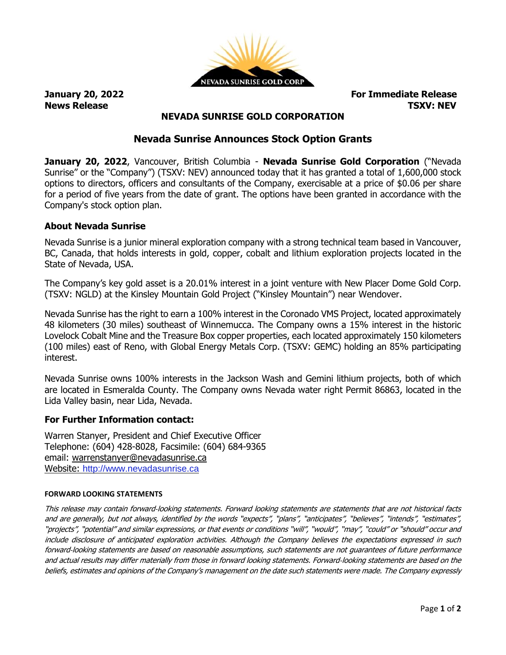

**January 20, 2022 For Immediate Release News Release TSXV: NEV**

# **NEVADA SUNRISE GOLD CORPORATION**

# **Nevada Sunrise Announces Stock Option Grants**

**January 20, 2022**, Vancouver, British Columbia - **Nevada Sunrise Gold Corporation** ("Nevada Sunrise" or the "Company") (TSXV: NEV) announced today that it has granted a total of 1,600,000 stock options to directors, officers and consultants of the Company, exercisable at a price of \$0.06 per share for a period of five years from the date of grant. The options have been granted in accordance with the Company's stock option plan.

## **About Nevada Sunrise**

Nevada Sunrise is a junior mineral exploration company with a strong technical team based in Vancouver, BC, Canada, that holds interests in gold, copper, cobalt and lithium exploration projects located in the State of Nevada, USA.

The Company's key gold asset is a 20.01% interest in a joint venture with New Placer Dome Gold Corp. (TSXV: NGLD) at the Kinsley Mountain Gold Project ("Kinsley Mountain") near Wendover.

Nevada Sunrise has the right to earn a 100% interest in the Coronado VMS Project, located approximately 48 kilometers (30 miles) southeast of Winnemucca. The Company owns a 15% interest in the historic Lovelock Cobalt Mine and the Treasure Box copper properties, each located approximately 150 kilometers (100 miles) east of Reno, with Global Energy Metals Corp. (TSXV: GEMC) holding an 85% participating interest.

Nevada Sunrise owns 100% interests in the Jackson Wash and Gemini lithium projects, both of which are located in Esmeralda County. The Company owns Nevada water right Permit 86863, located in the Lida Valley basin, near Lida, Nevada.

### **For Further Information contact:**

Warren Stanyer, President and Chief Executive Officer Telephone: (604) 428-8028, Facsimile: (604) 684-9365 email: [warrenstanyer@nevadasunrise.ca](mailto:warrenstanyer@nevadasunrise.ca) Website: [http://www.nevadasunrise.ca](http://www.nevadasunrise.ca/)

#### **FORWARD LOOKING STATEMENTS**

This release may contain forward-looking statements. Forward looking statements are statements that are not historical facts and are generally, but not always, identified by the words "expects", "plans", "anticipates", "believes", "intends", "estimates", "projects", "potential" and similar expressions, or that events or conditions "will", "would", "may", "could" or "should" occur and include disclosure of anticipated exploration activities. Although the Company believes the expectations expressed in such forward‐looking statements are based on reasonable assumptions, such statements are not guarantees of future performance and actual results may differ materially from those in forward looking statements. Forward‐looking statements are based on the beliefs, estimates and opinions of the Company's management on the date such statements were made. The Company expressly